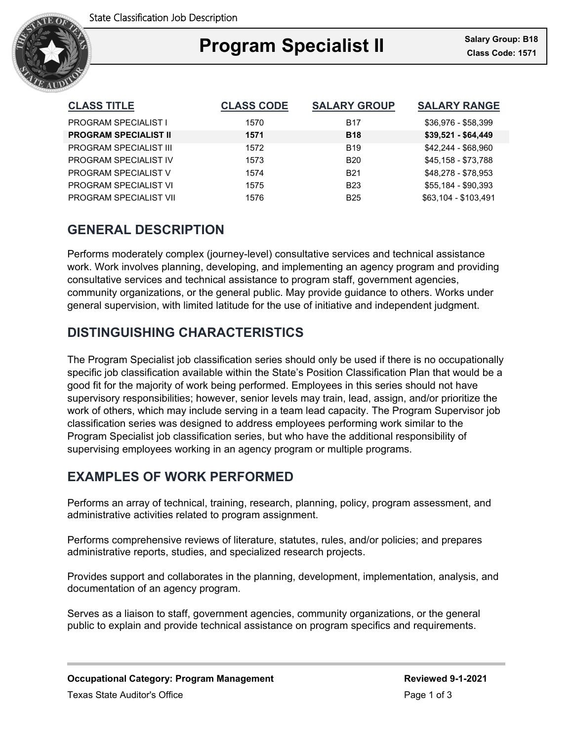

## Ι **Program Specialist II Class Code: 1571**

| <b>CLASS TITLE</b>            | <b>CLASS CODE</b> | <b>SALARY GROUP</b> | <b>SALARY RANGE</b>  |
|-------------------------------|-------------------|---------------------|----------------------|
| <b>PROGRAM SPECIALIST I</b>   | 1570              | <b>B17</b>          | \$36,976 - \$58,399  |
| <b>PROGRAM SPECIALIST II</b>  | 1571              | <b>B18</b>          | $$39,521 - $64,449$  |
| <b>PROGRAM SPECIALIST III</b> | 1572              | <b>B19</b>          | \$42,244 - \$68,960  |
| PROGRAM SPECIALIST IV         | 1573              | <b>B20</b>          | \$45,158 - \$73,788  |
| <b>PROGRAM SPECIALIST V</b>   | 1574              | <b>B21</b>          | \$48,278 - \$78,953  |
| PROGRAM SPECIALIST VI         | 1575              | <b>B23</b>          | \$55,184 - \$90,393  |
| PROGRAM SPECIALIST VII        | 1576              | <b>B25</b>          | \$63.104 - \$103.491 |

# **GENERAL DESCRIPTION**

Performs moderately complex (journey-level) consultative services and technical assistance work. Work involves planning, developing, and implementing an agency program and providing consultative services and technical assistance to program staff, government agencies, community organizations, or the general public. May provide guidance to others. Works under general supervision, with limited latitude for the use of initiative and independent judgment.

## **DISTINGUISHING CHARACTERISTICS**

The Program Specialist job classification series should only be used if there is no occupationally specific job classification available within the State's Position Classification Plan that would be a good fit for the majority of work being performed. Employees in this series should not have supervisory responsibilities; however, senior levels may train, lead, assign, and/or prioritize the work of others, which may include serving in a team lead capacity. The Program Supervisor job classification series was designed to address employees performing work similar to the Program Specialist job classification series, but who have the additional responsibility of supervising employees working in an agency program or multiple programs.

## **EXAMPLES OF WORK PERFORMED**

Performs an array of technical, training, research, planning, policy, program assessment, and administrative activities related to program assignment.

Performs comprehensive reviews of literature, statutes, rules, and/or policies; and prepares administrative reports, studies, and specialized research projects.

Provides support and collaborates in the planning, development, implementation, analysis, and documentation of an agency program.

Serves as a liaison to staff, government agencies, community organizations, or the general public to explain and provide technical assistance on program specifics and requirements.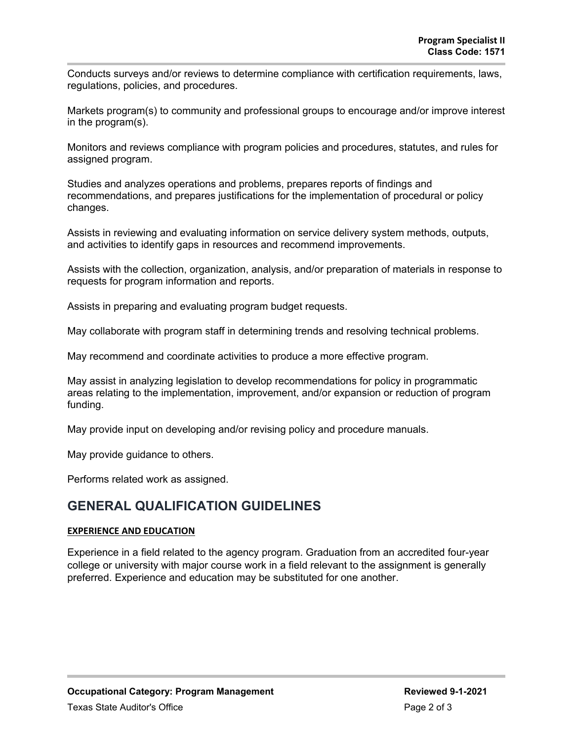Conducts surveys and/or reviews to determine compliance with certification requirements, laws, regulations, policies, and procedures.

Markets program(s) to community and professional groups to encourage and/or improve interest in the program(s).

Monitors and reviews compliance with program policies and procedures, statutes, and rules for assigned program.

Studies and analyzes operations and problems, prepares reports of findings and recommendations, and prepares justifications for the implementation of procedural or policy changes.

Assists in reviewing and evaluating information on service delivery system methods, outputs, and activities to identify gaps in resources and recommend improvements.

Assists with the collection, organization, analysis, and/or preparation of materials in response to requests for program information and reports.

Assists in preparing and evaluating program budget requests.

May collaborate with program staff in determining trends and resolving technical problems.

May recommend and coordinate activities to produce a more effective program.

May assist in analyzing legislation to develop recommendations for policy in programmatic areas relating to the implementation, improvement, and/or expansion or reduction of program funding.

May provide input on developing and/or revising policy and procedure manuals.

May provide guidance to others.

Performs related work as assigned.

### **GENERAL QUALIFICATION GUIDELINES**

### **EXPERIENCE AND EDUCATION**

Experience in a field related to the agency program. Graduation from an accredited four-year college or university with major course work in a field relevant to the assignment is generally preferred. Experience and education may be substituted for one another.